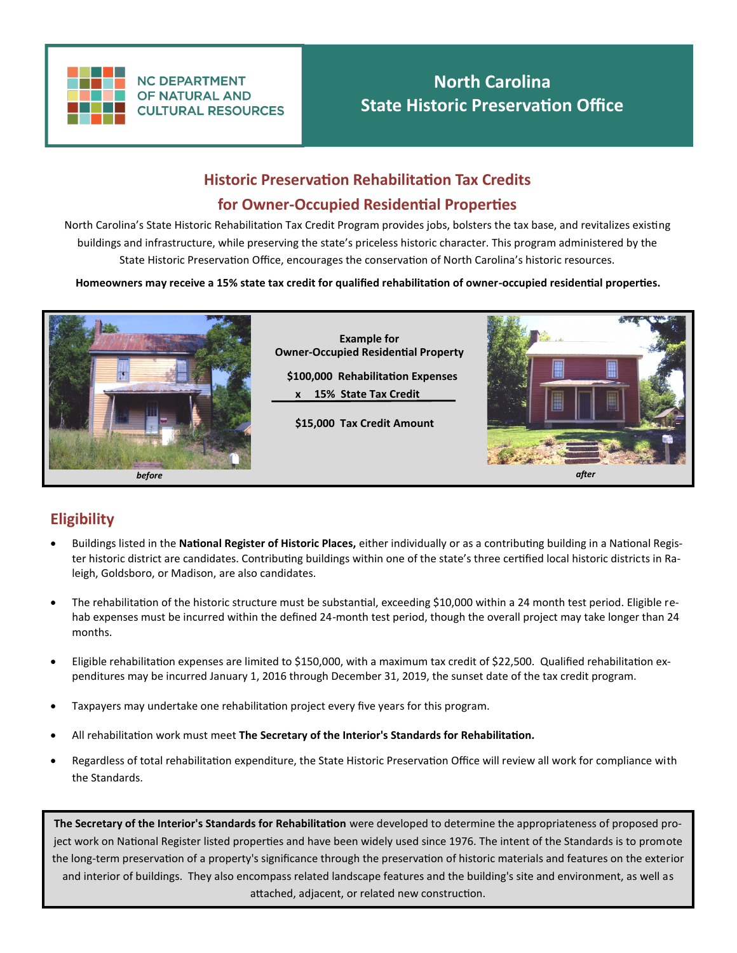

**NC DEPARTMENT OF NATURAL AND CULTURAL RESOURCES** 

# **North Carolina State Historic Preservation Office**

# **Historic Preservation Rehabilitation Tax Credits for Owner-Occupied Residential Properties**

North Carolina's State Historic Rehabilitation Tax Credit Program provides jobs, bolsters the tax base, and revitalizes existing buildings and infrastructure, while preserving the state's priceless historic character. This program administered by the State Historic Preservation Office, encourages the conservation of North Carolina's historic resources.

**Homeowners may receive a 15% state tax credit for qualified rehabilitation of owner-occupied residential properties.**



### **Eligibility**

- Buildings listed in the **National Register of Historic Places,** either individually or as a contributing building in a National Register historic district are candidates. Contributing buildings within one of the state's three certified local historic districts in Raleigh, Goldsboro, or Madison, are also candidates.
- The rehabilitation of the historic structure must be substantial, exceeding \$10,000 within a 24 month test period. Eligible rehab expenses must be incurred within the defined 24-month test period, though the overall project may take longer than 24 months.
- Eligible rehabilitation expenses are limited to \$150,000, with a maximum tax credit of \$22,500. Qualified rehabilitation expenditures may be incurred January 1, 2016 through December 31, 2019, the sunset date of the tax credit program.
- Taxpayers may undertake one rehabilitation project every five years for this program.
- All rehabilitation work must meet **The Secretary of the Interior's Standards for Rehabilitation***.*
- Regardless of total rehabilitation expenditure, the State Historic Preservation Office will review all work for compliance with the Standards.

**The Secretary of the Interior's Standards for Rehabilitation** were developed to determine the appropriateness of proposed project work on National Register listed properties and have been widely used since 1976. The intent of the Standards is to promote the long-term preservation of a property's significance through the preservation of historic materials and features on the exterior and interior of buildings. They also encompass related landscape features and the building's site and environment, as well as attached, adjacent, or related new construction.